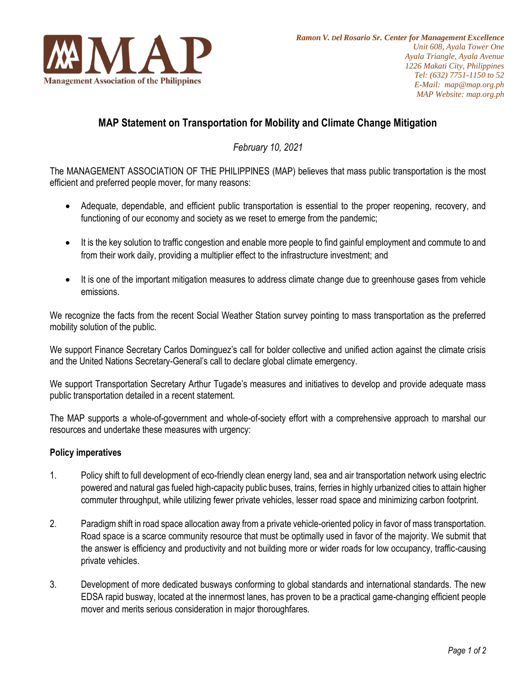

# **MAP Statement on Transportation for Mobility and Climate Change Mitigation**

*February 10, 2021*

The MANAGEMENT ASSOCIATION OF THE PHILIPPINES (MAP) believes that mass public transportation is the most efficient and preferred people mover, for many reasons:

- Adequate, dependable, and efficient public transportation is essential to the proper reopening, recovery, and functioning of our economy and society as we reset to emerge from the pandemic;
- It is the key solution to traffic congestion and enable more people to find gainful employment and commute to and from their work daily, providing a multiplier effect to the infrastructure investment; and
- It is one of the important mitigation measures to address climate change due to greenhouse gases from vehicle emissions.

We recognize the facts from the recent Social Weather Station survey pointing to mass transportation as the preferred mobility solution of the public.

We support Finance Secretary Carlos Dominguez's call for bolder collective and unified action against the climate crisis and the United Nations Secretary-General's call to declare global climate emergency.

We support Transportation Secretary Arthur Tugade's measures and initiatives to develop and provide adequate mass public transportation detailed in a recent statement.

The MAP supports a whole-of-government and whole-of-society effort with a comprehensive approach to marshal our resources and undertake these measures with urgency:

## **Policy imperatives**

- 1. Policy shift to full development of eco-friendly clean energy land, sea and air transportation network using electric powered and natural gas fueled high-capacity public buses, trains, ferries in highly urbanized cities to attain higher commuter throughput, while utilizing fewer private vehicles, lesser road space and minimizing carbon footprint.
- 2. Paradigm shift in road space allocation away from a private vehicle-oriented policy in favor of mass transportation. Road space is a scarce community resource that must be optimally used in favor of the majority. We submit that the answer is efficiency and productivity and not building more or wider roads for low occupancy, traffic-causing private vehicles.
- 3. Development of more dedicated busways conforming to global standards and international standards. The new EDSA rapid busway, located at the innermost lanes, has proven to be a practical game-changing efficient people mover and merits serious consideration in major thoroughfares.